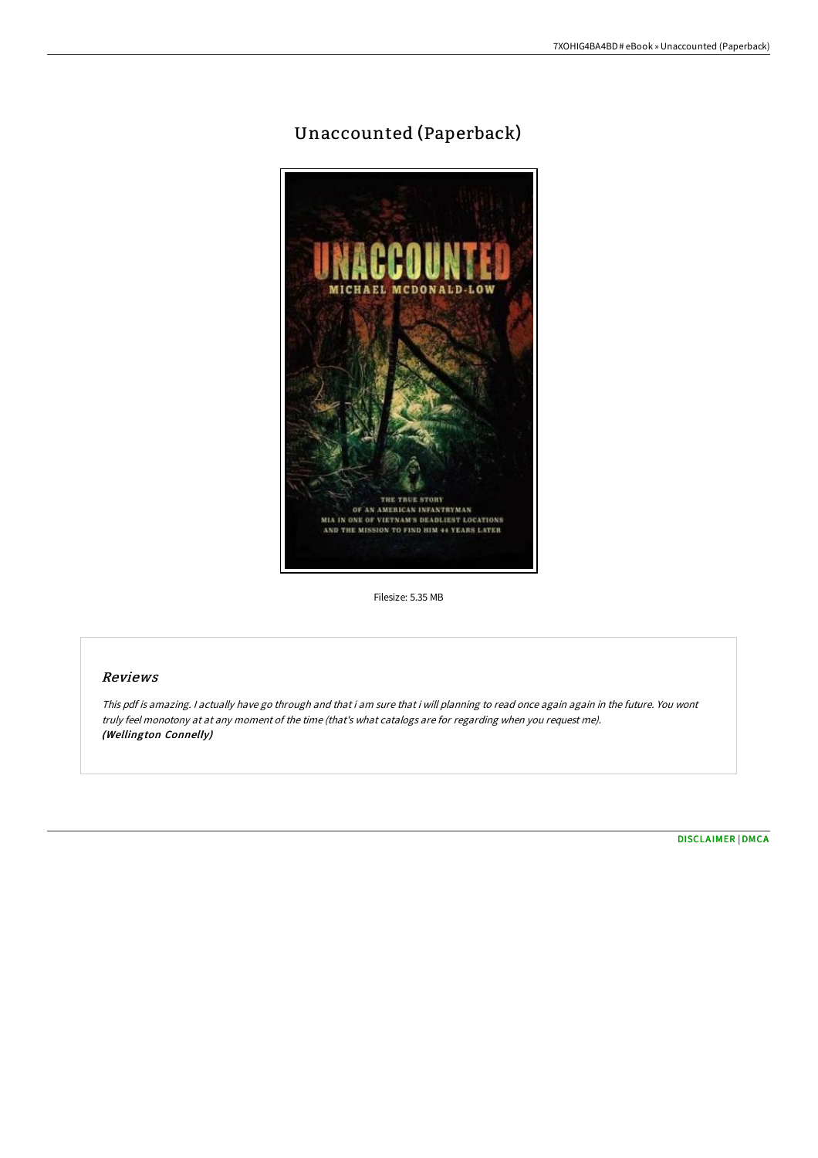## Unaccounted (Paperback)



Filesize: 5.35 MB

## Reviews

This pdf is amazing. <sup>I</sup> actually have go through and that i am sure that i will planning to read once again again in the future. You wont truly feel monotony at at any moment of the time (that's what catalogs are for regarding when you request me). (Wellington Connelly)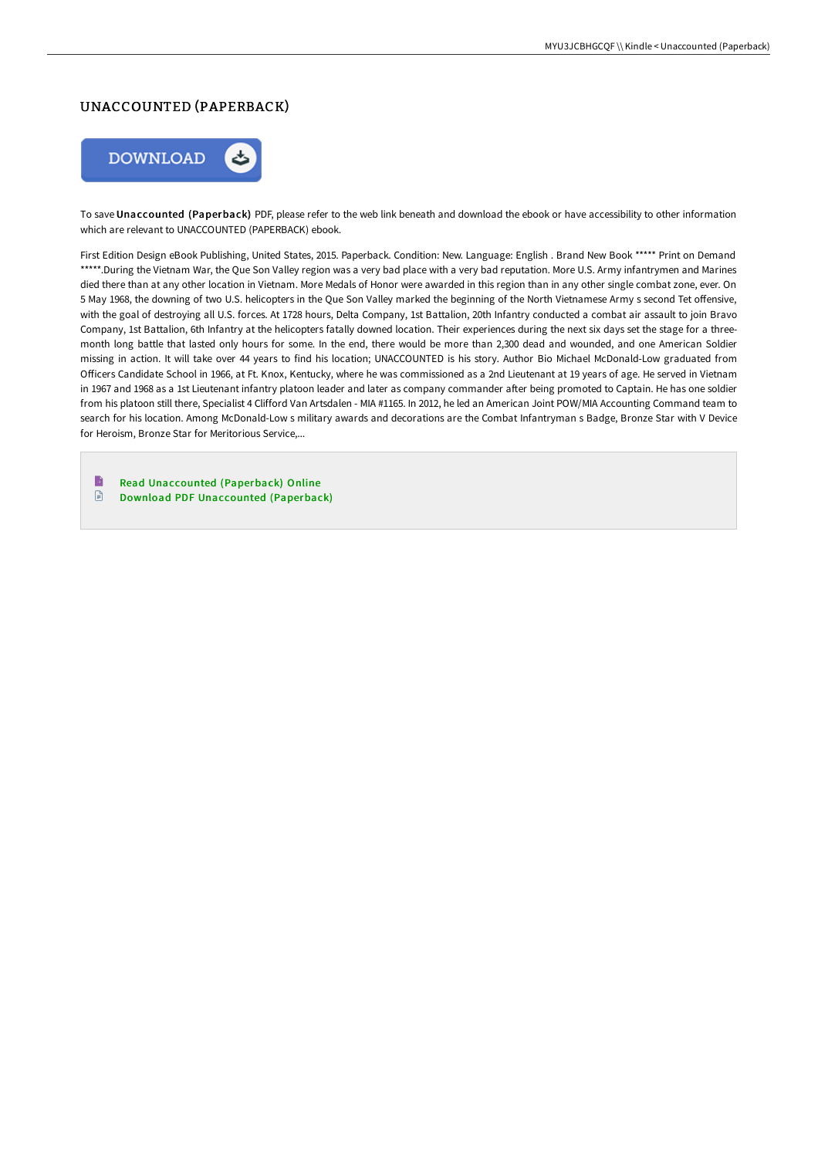## UNACCOUNTED (PAPERBACK)



To save Unaccounted (Paperback) PDF, please refer to the web link beneath and download the ebook or have accessibility to other information which are relevant to UNACCOUNTED (PAPERBACK) ebook.

First Edition Design eBook Publishing, United States, 2015. Paperback. Condition: New. Language: English . Brand New Book \*\*\*\*\* Print on Demand \*\*\*\*\*.During the Vietnam War, the Que Son Valley region was a very bad place with a very bad reputation. More U.S. Army infantrymen and Marines died there than at any other location in Vietnam. More Medals of Honor were awarded in this region than in any other single combat zone, ever. On 5 May 1968, the downing of two U.S. helicopters in the Que Son Valley marked the beginning of the North Vietnamese Army s second Tet offensive, with the goal of destroying all U.S. forces. At 1728 hours, Delta Company, 1st Battalion, 20th Infantry conducted a combat air assault to join Bravo Company, 1st Battalion, 6th Infantry at the helicopters fatally downed location. Their experiences during the next six days set the stage for a threemonth long battle that lasted only hours for some. In the end, there would be more than 2,300 dead and wounded, and one American Soldier missing in action. It will take over 44 years to find his location; UNACCOUNTED is his story. Author Bio Michael McDonald-Low graduated from Officers Candidate School in 1966, at Ft. Knox, Kentucky, where he was commissioned as a 2nd Lieutenant at 19 years of age. He served in Vietnam in 1967 and 1968 as a 1st Lieutenant infantry platoon leader and later as company commander after being promoted to Captain. He has one soldier from his platoon still there, Specialist 4 Clifford Van Artsdalen - MIA #1165. In 2012, he led an American Joint POW/MIA Accounting Command team to search for his location. Among McDonald-Low s military awards and decorations are the Combat Infantryman s Badge, Bronze Star with V Device for Heroism, Bronze Star for Meritorious Service,...

B Read [Unaccounted](http://techno-pub.tech/unaccounted-paperback.html) (Paperback) Online  $\mathbf{r}$ Download PDF [Unaccounted](http://techno-pub.tech/unaccounted-paperback.html) (Paperback)